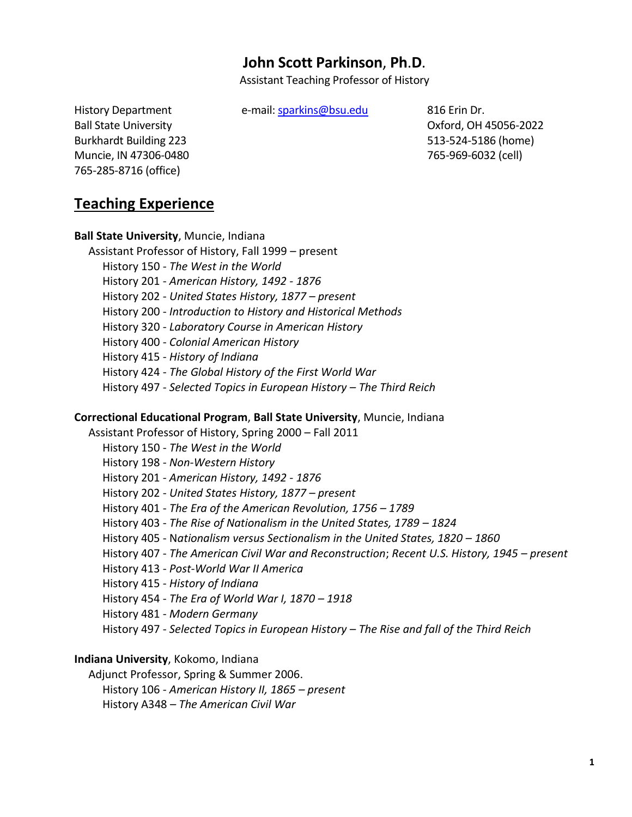# **John Scott Parkinson**, **Ph**.**D**.

Assistant Teaching Professor of History

History Department e-mail: [sparkins@bsu.edu](mailto:sparkins@bsu.edu) 816 Erin Dr.

Burkhardt Building 223 513-524-5186 (home) Muncie, IN 47306-0480 765-969-6032 (cell) 765-285-8716 (office)

Ball State University **Contract Contract Contract Contract Contract Contract Contract Contract Contract Contract Contract Contract Contract Contract Contract Contract Contract Contract Contract Contract Contract Contract C** 

## **Teaching Experience**

**Ball State University**, Muncie, Indiana Assistant Professor of History, Fall 1999 – present History 150 - *The West in the World* History 201 - *American History, 1492 - 1876* History 202 - *United States History, 1877 – present* History 200 - *Introduction to History and Historical Methods* History 320 - *Laboratory Course in American History* History 400 - *Colonial American History* History 415 - *History of Indiana* History 424 - *The Global History of the First World War* History 497 - *Selected Topics in European History – The Third Reich*

#### **Correctional Educational Program**, **Ball State University**, Muncie, Indiana

 Assistant Professor of History, Spring 2000 – Fall 2011 History 150 - *The West in the World* History 198 - *Non-Western History* History 201 - *American History, 1492 - 1876* History 202 - *United States History, 1877 – present* History 401 - *The Era of the American Revolution, 1756 – 1789* History 403 - *The Rise of Nationalism in the United States, 1789 – 1824* History 405 - Nationalism versus Sectionalism in the United States, 1820 - 1860 History 407 - *The American Civil War and Reconstruction*; *Recent U.S. History, 1945 – present* History 413 - *Post-World War II America* History 415 - *History of Indiana* History 454 - *The Era of World War I, 1870 – 1918* History 481 - *Modern Germany* History 497 - *Selected Topics in European History – The Rise and fall of the Third Reich*

#### **Indiana University**, Kokomo, Indiana

 Adjunct Professor, Spring & Summer 2006. History 106 - *American History II, 1865 – present* History A348 – *The American Civil War*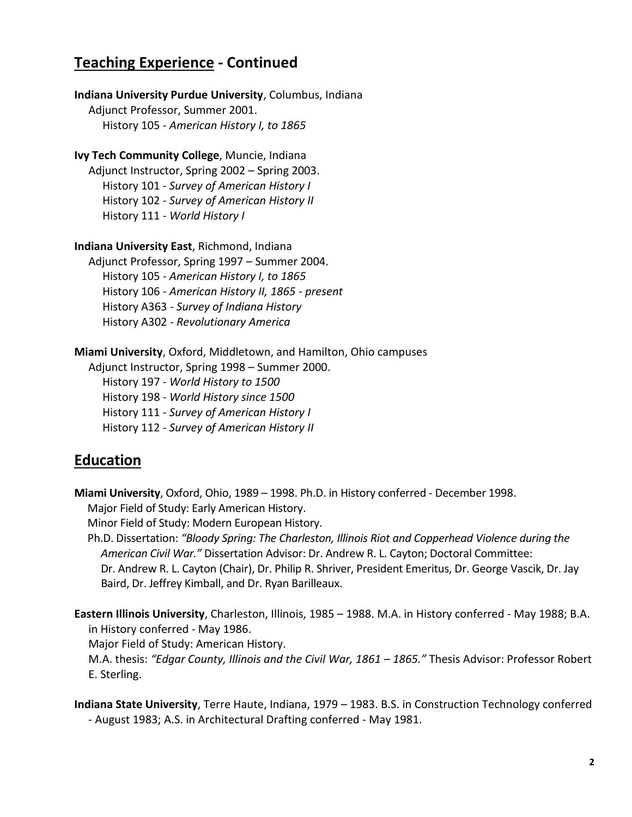## **Teaching Experience - Continued**

**Indiana University Purdue University**, Columbus, Indiana Adjunct Professor, Summer 2001. History 105 - *American History I, to 1865* 

**Ivy Tech Community College**, Muncie, Indiana Adjunct Instructor, Spring 2002 – Spring 2003.

 History 101 - *Survey of American History I* History 102 - *Survey of American History II* History 111 - *World History I*

**Indiana University East**, Richmond, Indiana

 Adjunct Professor, Spring 1997 – Summer 2004. History 105 - *American History I, to 1865*  History 106 - *American History II, 1865 - present* History A363 - *Survey of Indiana History* History A302 - *Revolutionary America*

**Miami University**, Oxford, Middletown, and Hamilton, Ohio campuses

 Adjunct Instructor, Spring 1998 – Summer 2000. History 197 - *World History to 1500* History 198 - *World History since 1500* History 111 - *Survey of American History I* History 112 - *Survey of American History II*

## **Education**

**Miami University**, Oxford, Ohio, 1989 – 1998. Ph.D. in History conferred - December 1998. Major Field of Study: Early American History.

Minor Field of Study: Modern European History.

 Ph.D. Dissertation: *"Bloody Spring: The Charleston, Illinois Riot and Copperhead Violence during the American Civil War."* Dissertation Advisor: Dr. Andrew R. L. Cayton; Doctoral Committee: Dr. Andrew R. L. Cayton (Chair), Dr. Philip R. Shriver, President Emeritus, Dr. George Vascik, Dr. Jay Baird, Dr. Jeffrey Kimball, and Dr. Ryan Barilleaux.

**Eastern Illinois University**, Charleston, Illinois, 1985 – 1988. M.A. in History conferred - May 1988; B.A. in History conferred - May 1986.

 Major Field of Study: American History. M.A. thesis: *"Edgar County, Illinois and the Civil War, 1861 – 1865."* Thesis Advisor: Professor Robert E. Sterling.

**Indiana State University**, Terre Haute, Indiana, 1979 – 1983. B.S. in Construction Technology conferred - August 1983; A.S. in Architectural Drafting conferred - May 1981.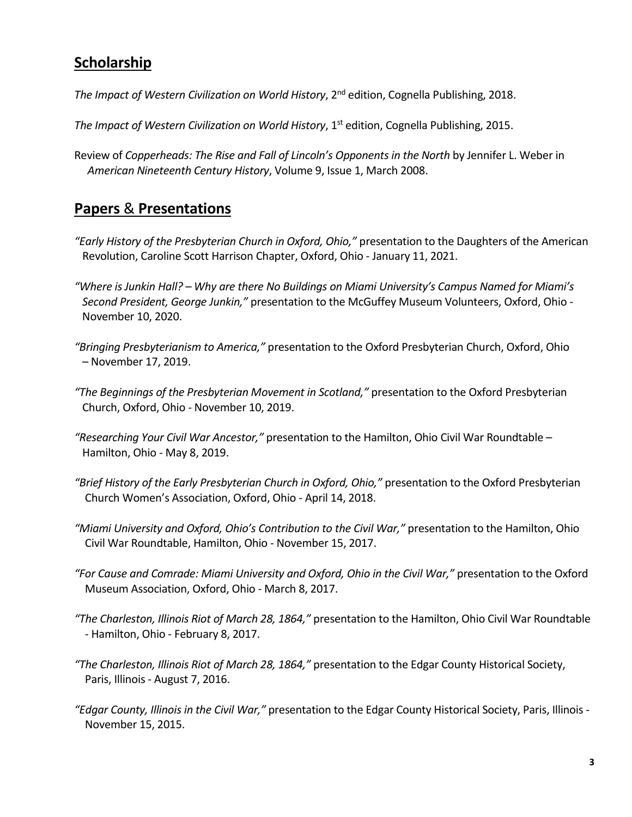# **Scholarship**

*The Impact of Western Civilization on World History*, 2nd edition, Cognella Publishing, 2018.

- *The Impact of Western Civilization on World History*, 1st edition, Cognella Publishing, 2015.
- Review of *Copperheads: The Rise and Fall of Lincoln's Opponents in the North* by Jennifer L. Weber in *American Nineteenth Century History*, Volume 9, Issue 1, March 2008.

## **Papers** & **Presentations**

- *"Early History of the Presbyterian Church in Oxford, Ohio,"* presentation to the Daughters of the American Revolution, Caroline Scott Harrison Chapter, Oxford, Ohio - January 11, 2021.
- *"Where is Junkin Hall? – Why are there No Buildings on Miami University's Campus Named for Miami's Second President, George Junkin,"* presentation to the McGuffey Museum Volunteers, Oxford, Ohio - November 10, 2020.
- *"Bringing Presbyterianism to America,"* presentation to the Oxford Presbyterian Church, Oxford, Ohio – November 17, 2019.
- *"The Beginnings of the Presbyterian Movement in Scotland,"* presentation to the Oxford Presbyterian Church, Oxford, Ohio - November 10, 2019.
- *"Researching Your Civil War Ancestor,"* presentation to the Hamilton, Ohio Civil War Roundtable Hamilton, Ohio - May 8, 2019.
- *"Brief History of the Early Presbyterian Church in Oxford, Ohio,"* presentation to the Oxford Presbyterian Church Women's Association, Oxford, Ohio - April 14, 2018.
- *"Miami University and Oxford, Ohio's Contribution to the Civil War,"* presentation to the Hamilton, Ohio Civil War Roundtable, Hamilton, Ohio - November 15, 2017.
- *"For Cause and Comrade: Miami University and Oxford, Ohio in the Civil War,"* presentation to the Oxford Museum Association, Oxford, Ohio - March 8, 2017.
- *"The Charleston, Illinois Riot of March 28, 1864,"* presentation to the Hamilton, Ohio Civil War Roundtable - Hamilton, Ohio - February 8, 2017.
- *"The Charleston, Illinois Riot of March 28, 1864,"* presentation to the Edgar County Historical Society, Paris, Illinois - August 7, 2016.
- *"Edgar County, Illinois in the Civil War,"* presentation to the Edgar County Historical Society, Paris, Illinois November 15, 2015.